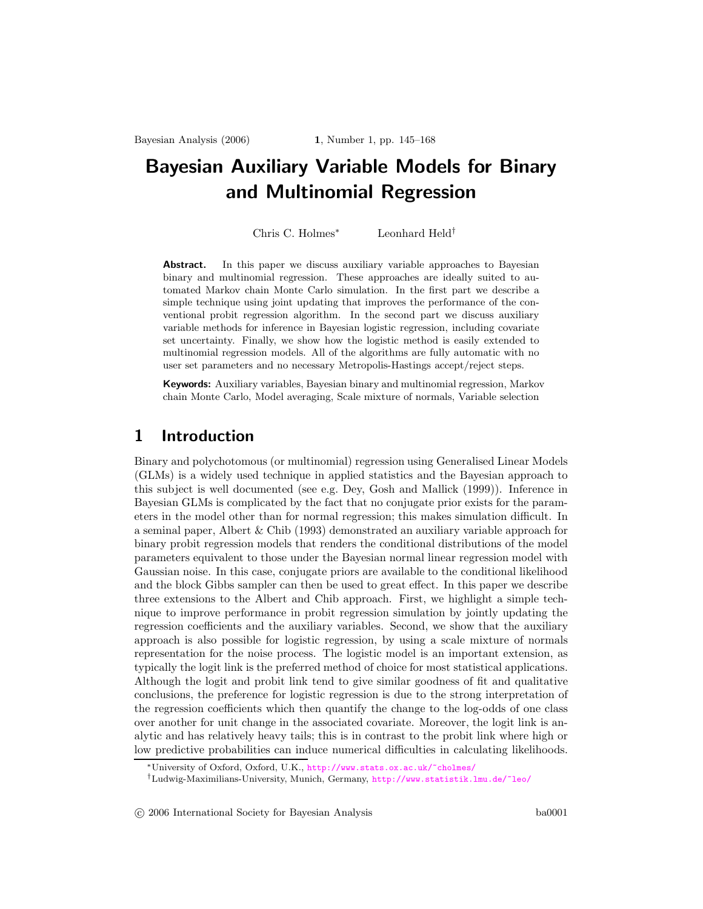# Bayesian Auxiliary Variable Models for Binary and Multinomial Regression

Chris C. Holmes<sup>∗</sup> Leonhard Held†

Abstract. In this paper we discuss auxiliary variable approaches to Bayesian binary and multinomial regression. These approaches are ideally suited to automated Markov chain Monte Carlo simulation. In the first part we describe a simple technique using joint updating that improves the performance of the conventional probit regression algorithm. In the second part we discuss auxiliary variable methods for inference in Bayesian logistic regression, including covariate set uncertainty. Finally, we show how the logistic method is easily extended to multinomial regression models. All of the algorithms are fully automatic with no user set parameters and no necessary Metropolis-Hastings accept/reject steps.

Keywords: Auxiliary variables, Bayesian binary and multinomial regression, Markov chain Monte Carlo, Model averaging, Scale mixture of normals, Variable selection

# 1 Introduction

Binary and polychotomous (or multinomial) regression using Generalised Linear Models (GLMs) is a widely used technique in applied statistics and the Bayesian approach to this subject is well documented (see e.g. Dey, Gosh and Mallick (1999)). Inference in Bayesian GLMs is complicated by the fact that no conjugate prior exists for the parameters in the model other than for normal regression; this makes simulation difficult. In a seminal paper, Albert & Chib (1993) demonstrated an auxiliary variable approach for binary probit regression models that renders the conditional distributions of the model parameters equivalent to those under the Bayesian normal linear regression model with Gaussian noise. In this case, conjugate priors are available to the conditional likelihood and the block Gibbs sampler can then be used to great effect. In this paper we describe three extensions to the Albert and Chib approach. First, we highlight a simple technique to improve performance in probit regression simulation by jointly updating the regression coefficients and the auxiliary variables. Second, we show that the auxiliary approach is also possible for logistic regression, by using a scale mixture of normals representation for the noise process. The logistic model is an important extension, as typically the logit link is the preferred method of choice for most statistical applications. Although the logit and probit link tend to give similar goodness of fit and qualitative conclusions, the preference for logistic regression is due to the strong interpretation of the regression coefficients which then quantify the change to the log-odds of one class over another for unit change in the associated covariate. Moreover, the logit link is analytic and has relatively heavy tails; this is in contrast to the probit link where high or low predictive probabilities can induce numerical difficulties in calculating likelihoods.

<sup>∗</sup>University of Oxford, Oxford, U.K., <http://www.stats.ox.ac.uk/~cholmes/>

<sup>†</sup>Ludwig-Maximilians-University, Munich, Germany, <http://www.statistik.lmu.de/~leo/>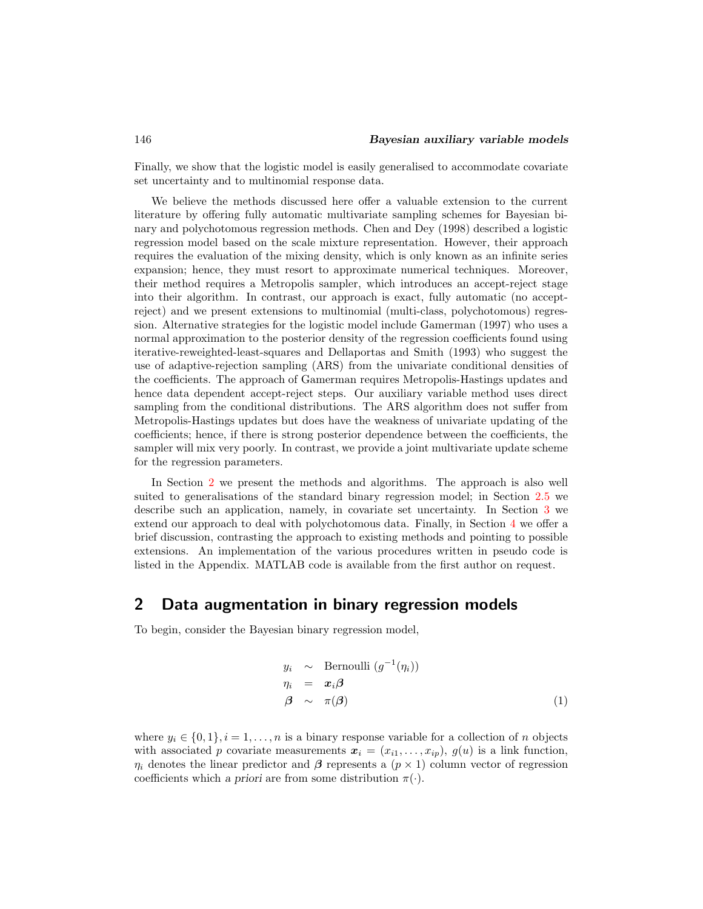Finally, we show that the logistic model is easily generalised to accommodate covariate set uncertainty and to multinomial response data.

We believe the methods discussed here offer a valuable extension to the current literature by offering fully automatic multivariate sampling schemes for Bayesian binary and polychotomous regression methods. Chen and Dey (1998) described a logistic regression model based on the scale mixture representation. However, their approach requires the evaluation of the mixing density, which is only known as an infinite series expansion; hence, they must resort to approximate numerical techniques. Moreover, their method requires a Metropolis sampler, which introduces an accept-reject stage into their algorithm. In contrast, our approach is exact, fully automatic (no acceptreject) and we present extensions to multinomial (multi-class, polychotomous) regression. Alternative strategies for the logistic model include Gamerman (1997) who uses a normal approximation to the posterior density of the regression coefficients found using iterative-reweighted-least-squares and Dellaportas and Smith (1993) who suggest the use of adaptive-rejection sampling (ARS) from the univariate conditional densities of the coefficients. The approach of Gamerman requires Metropolis-Hastings updates and hence data dependent accept-reject steps. Our auxiliary variable method uses direct sampling from the conditional distributions. The ARS algorithm does not suffer from Metropolis-Hastings updates but does have the weakness of univariate updating of the coefficients; hence, if there is strong posterior dependence between the coefficients, the sampler will mix very poorly. In contrast, we provide a joint multivariate update scheme for the regression parameters.

In Section 2 we present the methods and algorithms. The approach is also well suited to generalisations of the standard binary regression model; in Section 2.5 we describe such an application, namely, in covariate set uncertainty. In Section 3 we extend our approach to deal with polychotomous data. Finally, in Section 4 we offer a brief discussion, contrasting the approach to existing methods and pointing to possible extensions. An implementation of the various procedures written in pseudo code is listed in the Appendix. MATLAB code is available from the first author on request.

# 2 Data augmentation in binary regression models

To begin, consider the Bayesian binary regression model,

$$
y_i \sim \text{Bernoulli}(g^{-1}(\eta_i))
$$
  
\n
$$
\eta_i = x_i \beta
$$
  
\n
$$
\beta \sim \pi(\beta)
$$
\n(1)

where  $y_i \in \{0,1\}, i = 1, \ldots, n$  is a binary response variable for a collection of n objects with associated p covariate measurements  $x_i = (x_{i1}, \ldots, x_{ip}), g(u)$  is a link function,  $\eta_i$  denotes the linear predictor and  $\beta$  represents a  $(p \times 1)$  column vector of regression coefficients which a priori are from some distribution  $\pi(\cdot)$ .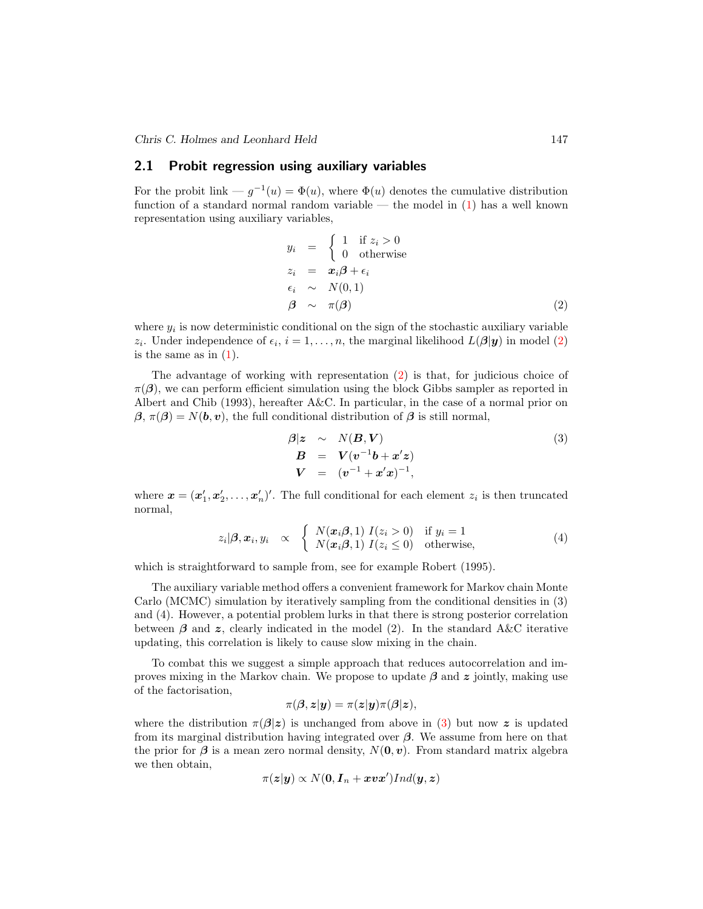Chris C. Holmes and Leonhard Held 147

#### 2.1 Probit regression using auxiliary variables

For the probit link —  $g^{-1}(u) = \Phi(u)$ , where  $\Phi(u)$  denotes the cumulative distribution function of a standard normal random variable — the model in (1) has a well known representation using auxiliary variables,

$$
y_i = \begin{cases} 1 & \text{if } z_i > 0 \\ 0 & \text{otherwise} \end{cases}
$$
  
\n
$$
z_i = x_i \beta + \epsilon_i
$$
  
\n
$$
\epsilon_i \sim N(0, 1)
$$
  
\n
$$
\beta \sim \pi(\beta)
$$
 (2)

where  $y_i$  is now deterministic conditional on the sign of the stochastic auxiliary variable  $z_i$ . Under independence of  $\epsilon_i$ ,  $i = 1, ..., n$ , the marginal likelihood  $L(\beta|\mathbf{y})$  in model (2) is the same as in  $(1)$ .

The advantage of working with representation (2) is that, for judicious choice of  $\pi(\beta)$ , we can perform efficient simulation using the block Gibbs sampler as reported in Albert and Chib (1993), hereafter A&C. In particular, in the case of a normal prior on  $\beta, \pi(\beta) = N(b, v)$ , the full conditional distribution of  $\beta$  is still normal,

$$
\beta|z \sim N(B, V) \tag{3}
$$
\n
$$
B = V(v^{-1}b + x'z) \tag{3}
$$
\n
$$
V = (v^{-1} + x'x)^{-1},
$$

where  $\mathbf{x} = (\mathbf{x}'_1, \mathbf{x}'_2, \dots, \mathbf{x}'_n)'$ . The full conditional for each element  $z_i$  is then truncated normal,

$$
z_i|\boldsymbol{\beta}, \boldsymbol{x}_i, y_i \propto \begin{cases} N(\boldsymbol{x}_i \boldsymbol{\beta}, 1) \ I(z_i > 0) & \text{if } y_i = 1 \\ N(\boldsymbol{x}_i \boldsymbol{\beta}, 1) \ I(z_i \le 0) & \text{otherwise,} \end{cases}
$$
(4)

which is straightforward to sample from, see for example Robert (1995).

The auxiliary variable method offers a convenient framework for Markov chain Monte Carlo (MCMC) simulation by iteratively sampling from the conditional densities in (3) and (4). However, a potential problem lurks in that there is strong posterior correlation between  $\beta$  and z, clearly indicated in the model (2). In the standard A&C iterative updating, this correlation is likely to cause slow mixing in the chain.

To combat this we suggest a simple approach that reduces autocorrelation and improves mixing in the Markov chain. We propose to update  $\beta$  and z jointly, making use of the factorisation,

$$
\pi(\boldsymbol{\beta},\boldsymbol{z}|\boldsymbol{y})=\pi(\boldsymbol{z}|\boldsymbol{y})\pi(\boldsymbol{\beta}|\boldsymbol{z}),
$$

where the distribution  $\pi(\beta|z)$  is unchanged from above in (3) but now z is updated from its marginal distribution having integrated over  $\beta$ . We assume from here on that the prior for  $\beta$  is a mean zero normal density,  $N(\mathbf{0}, v)$ . From standard matrix algebra we then obtain,

$$
\pi(\boldsymbol{z}|\boldsymbol{y}) \propto N(\boldsymbol{0}, \boldsymbol{I}_n + \boldsymbol{x}\boldsymbol{v}\boldsymbol{x}')Ind(\boldsymbol{y}, \boldsymbol{z})
$$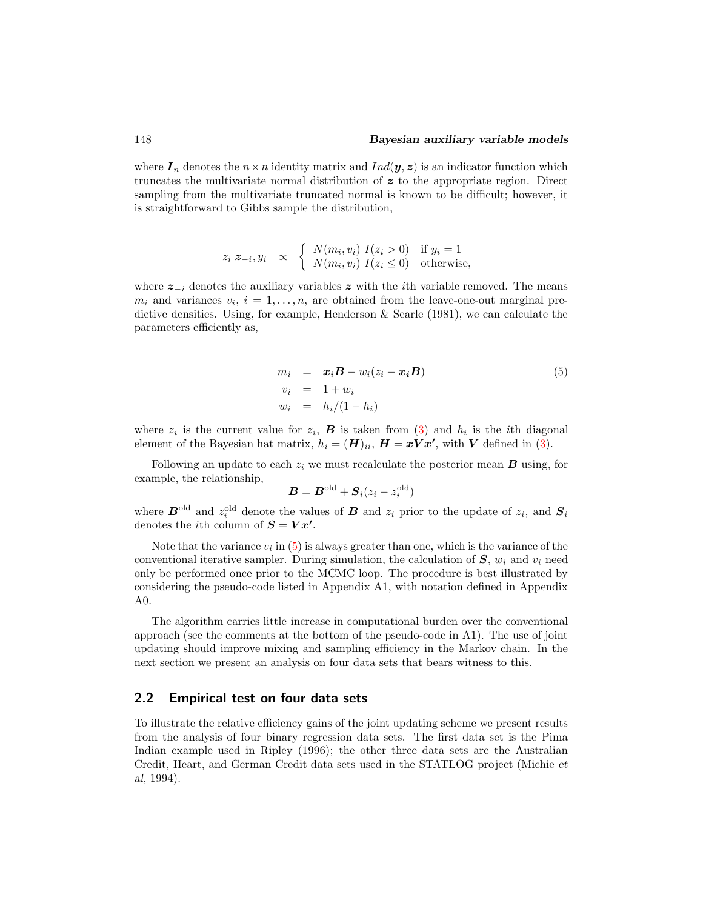where  $I_n$  denotes the  $n \times n$  identity matrix and  $Ind(y, z)$  is an indicator function which truncates the multivariate normal distribution of z to the appropriate region. Direct sampling from the multivariate truncated normal is known to be difficult; however, it is straightforward to Gibbs sample the distribution,

$$
z_i | \mathbf{z}_{-i}, y_i \propto \begin{cases} N(m_i, v_i) \ I(z_i > 0) & \text{if } y_i = 1 \\ N(m_i, v_i) \ I(z_i \le 0) & \text{otherwise,} \end{cases}
$$

where  $z_{-i}$  denotes the auxiliary variables z with the *i*th variable removed. The means  $m_i$  and variances  $v_i$ ,  $i = 1, \ldots, n$ , are obtained from the leave-one-out marginal predictive densities. Using, for example, Henderson & Searle (1981), we can calculate the parameters efficiently as,

$$
m_i = x_i \mathbf{B} - w_i (z_i - x_i \mathbf{B})
$$
  
\n
$$
v_i = 1 + w_i
$$
  
\n
$$
w_i = h_i / (1 - h_i)
$$
\n(5)

where  $z_i$  is the current value for  $z_i$ , **B** is taken from (3) and  $h_i$  is the *i*th diagonal element of the Bayesian hat matrix,  $h_i = (H)_{ii}$ ,  $H = xVx'$ , with V defined in (3).

Following an update to each  $z_i$  we must recalculate the posterior mean  $\boldsymbol{B}$  using, for example, the relationship,

$$
\boldsymbol{B} = \boldsymbol{B}^{\text{old}} + \boldsymbol{S}_i(z_i - z_i^{\text{old}})
$$

where  $B^{\text{old}}$  and  $z_i^{\text{old}}$  denote the values of  $B$  and  $z_i$  prior to the update of  $z_i$ , and  $S_i$ denotes the *i*th column of  $S = Vx'$ .

Note that the variance  $v_i$  in (5) is always greater than one, which is the variance of the conventional iterative sampler. During simulation, the calculation of  $S$ ,  $w_i$  and  $v_i$  need only be performed once prior to the MCMC loop. The procedure is best illustrated by considering the pseudo-code listed in Appendix A1, with notation defined in Appendix A0.

The algorithm carries little increase in computational burden over the conventional approach (see the comments at the bottom of the pseudo-code in A1). The use of joint updating should improve mixing and sampling efficiency in the Markov chain. In the next section we present an analysis on four data sets that bears witness to this.

#### 2.2 Empirical test on four data sets

To illustrate the relative efficiency gains of the joint updating scheme we present results from the analysis of four binary regression data sets. The first data set is the Pima Indian example used in Ripley (1996); the other three data sets are the Australian Credit, Heart, and German Credit data sets used in the STATLOG project (Michie et al, 1994).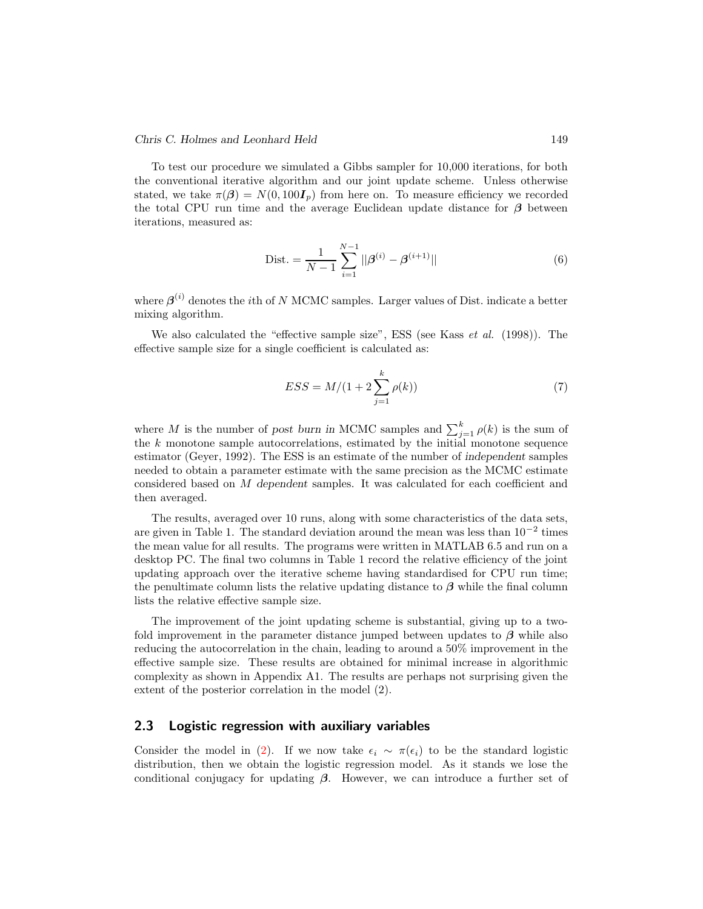#### Chris C. Holmes and Leonhard Held 149

To test our procedure we simulated a Gibbs sampler for 10,000 iterations, for both the conventional iterative algorithm and our joint update scheme. Unless otherwise stated, we take  $\pi(\boldsymbol{\beta}) = N(0, 100I_p)$  from here on. To measure efficiency we recorded the total CPU run time and the average Euclidean update distance for  $\beta$  between iterations, measured as:

$$
\text{Dist.} = \frac{1}{N-1} \sum_{i=1}^{N-1} ||\beta^{(i)} - \beta^{(i+1)}|| \tag{6}
$$

where  $\boldsymbol{\beta}^{(i)}$  denotes the *i*th of N MCMC samples. Larger values of Dist. indicate a better mixing algorithm.

We also calculated the "effective sample size", ESS (see Kass *et al.* (1998)). The effective sample size for a single coefficient is calculated as:

$$
ESS = M/(1 + 2\sum_{j=1}^{k} \rho(k))
$$
\n(7)

where M is the number of post burn in MCMC samples and  $\sum_{j=1}^{k} \rho(k)$  is the sum of the  $k$  monotone sample autocorrelations, estimated by the initial monotone sequence estimator (Geyer, 1992). The ESS is an estimate of the number of independent samples needed to obtain a parameter estimate with the same precision as the MCMC estimate considered based on M dependent samples. It was calculated for each coefficient and then averaged.

The results, averaged over 10 runs, along with some characteristics of the data sets, are given in Table 1. The standard deviation around the mean was less than 10<sup>−</sup><sup>2</sup> times the mean value for all results. The programs were written in MATLAB 6.5 and run on a desktop PC. The final two columns in Table 1 record the relative efficiency of the joint updating approach over the iterative scheme having standardised for CPU run time; the penultimate column lists the relative updating distance to  $\beta$  while the final column lists the relative effective sample size.

The improvement of the joint updating scheme is substantial, giving up to a twofold improvement in the parameter distance jumped between updates to  $\beta$  while also reducing the autocorrelation in the chain, leading to around a 50% improvement in the effective sample size. These results are obtained for minimal increase in algorithmic complexity as shown in Appendix A1. The results are perhaps not surprising given the extent of the posterior correlation in the model (2).

#### 2.3 Logistic regression with auxiliary variables

Consider the model in (2). If we now take  $\epsilon_i \sim \pi(\epsilon_i)$  to be the standard logistic distribution, then we obtain the logistic regression model. As it stands we lose the conditional conjugacy for updating  $\beta$ . However, we can introduce a further set of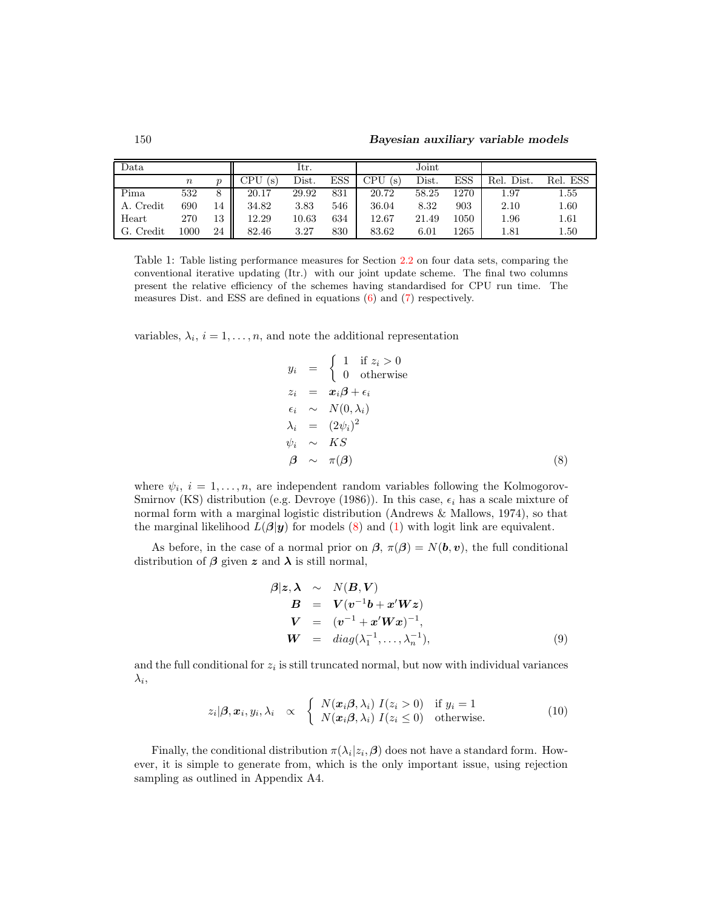| Data      |                  |    |        | Itr.  |            |                              | Joint |            |            |          |
|-----------|------------------|----|--------|-------|------------|------------------------------|-------|------------|------------|----------|
|           | $\boldsymbol{n}$ | n  | CPU(s) | Dist. | <b>ESS</b> | <b>CPU</b><br>$(\mathrm{s})$ | Dist. | <b>ESS</b> | Rel. Dist. | Rel. ESS |
| Pima      | 532              | 8  | 20.17  | 29.92 | 831        | 20.72                        | 58.25 | 1270       | 1.97       | 1.55     |
| A. Credit | 690              | 14 | 34.82  | 3.83  | 546        | 36.04                        | 8.32  | 903        | 2.10       | 1.60     |
| Heart     | 270              | 13 | 12.29  | 10.63 | 634        | 12.67                        | 21.49 | 1050       | 1.96       | 1.61     |
| G. Credit | 1000             | 24 | 82.46  | 3.27  | 830        | 83.62                        | 6.01  | 1265       | 1.81       | 1.50     |

Table 1: Table listing performance measures for Section 2.2 on four data sets, comparing the conventional iterative updating (Itr.) with our joint update scheme. The final two columns present the relative efficiency of the schemes having standardised for CPU run time. The measures Dist. and ESS are defined in equations (6) and (7) respectively.

variables,  $\lambda_i$ ,  $i = 1, \ldots, n$ , and note the additional representation

$$
y_i = \begin{cases} 1 & \text{if } z_i > 0 \\ 0 & \text{otherwise} \end{cases}
$$
  
\n
$$
z_i = x_i \beta + \epsilon_i
$$
  
\n
$$
\epsilon_i \sim N(0, \lambda_i)
$$
  
\n
$$
\lambda_i = (2\psi_i)^2
$$
  
\n
$$
\psi_i \sim KS
$$
  
\n
$$
\beta \sim \pi(\beta)
$$
 (8)

where  $\psi_i$ ,  $i = 1, \ldots, n$ , are independent random variables following the Kolmogorov-Smirnov (KS) distribution (e.g. Devroye (1986)). In this case,  $\epsilon_i$  has a scale mixture of normal form with a marginal logistic distribution (Andrews & Mallows, 1974), so that the marginal likelihood  $L(\beta|\mathbf{y})$  for models (8) and (1) with logit link are equivalent.

As before, in the case of a normal prior on  $\beta$ ,  $\pi(\beta) = N(b, v)$ , the full conditional distribution of  $\beta$  given z and  $\lambda$  is still normal,

$$
\beta|z, \lambda \sim N(B, V)
$$
  
\n
$$
B = V(v^{-1}b + x'Wz)
$$
  
\n
$$
V = (v^{-1} + x'Wx)^{-1},
$$
  
\n
$$
W = diag(\lambda_1^{-1}, \dots, \lambda_n^{-1}),
$$
\n(9)

and the full conditional for  $z_i$  is still truncated normal, but now with individual variances  $\lambda_i,$ 

$$
z_i|\boldsymbol{\beta}, \boldsymbol{x}_i, y_i, \lambda_i \propto \begin{cases} N(\boldsymbol{x}_i \boldsymbol{\beta}, \lambda_i) \ I(z_i > 0) & \text{if } y_i = 1 \\ N(\boldsymbol{x}_i \boldsymbol{\beta}, \lambda_i) \ I(z_i \le 0) & \text{otherwise.} \end{cases}
$$
(10)

Finally, the conditional distribution  $\pi(\lambda_i|z_i,\boldsymbol{\beta})$  does not have a standard form. However, it is simple to generate from, which is the only important issue, using rejection sampling as outlined in Appendix A4.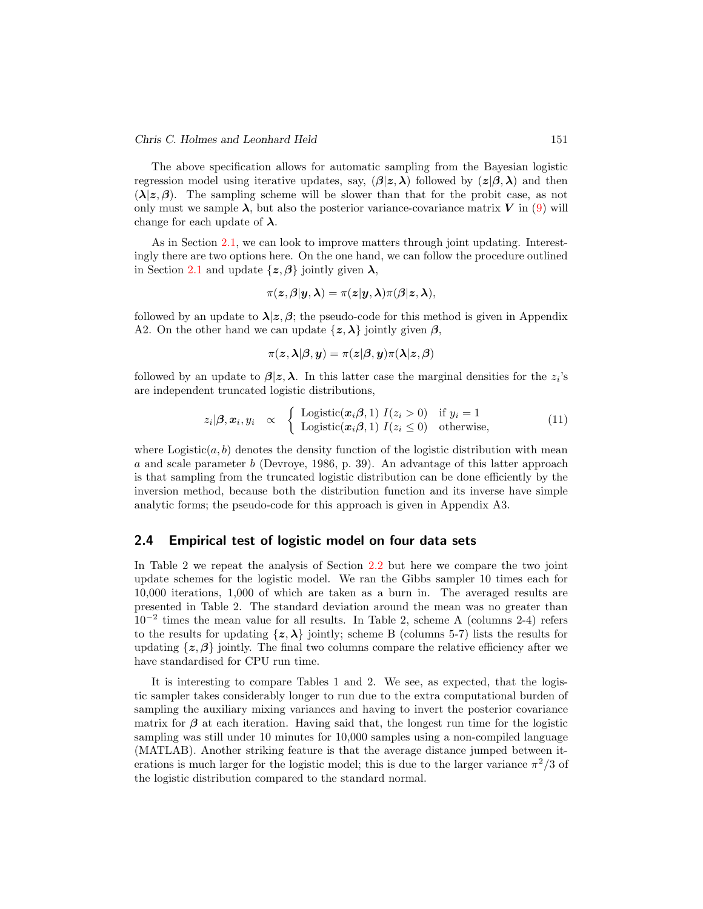The above specification allows for automatic sampling from the Bayesian logistic regression model using iterative updates, say,  $(\beta | z, \lambda)$  followed by  $(z | \beta, \lambda)$  and then  $(\lambda | z, \beta)$ . The sampling scheme will be slower than that for the probit case, as not only must we sample  $\lambda$ , but also the posterior variance-covariance matrix V in (9) will change for each update of  $\lambda$ .

As in Section 2.1, we can look to improve matters through joint updating. Interestingly there are two options here. On the one hand, we can follow the procedure outlined in Section 2.1 and update  $\{z, \beta\}$  jointly given  $\lambda$ ,

$$
\pi(\boldsymbol{z}, \boldsymbol{\beta}|\boldsymbol{y}, \boldsymbol{\lambda}) = \pi(\boldsymbol{z}|\boldsymbol{y}, \boldsymbol{\lambda}) \pi(\boldsymbol{\beta}|\boldsymbol{z}, \boldsymbol{\lambda}),
$$

followed by an update to  $\lambda |z, \beta$ ; the pseudo-code for this method is given in Appendix A2. On the other hand we can update  $\{z, \lambda\}$  jointly given  $\beta$ ,

$$
\pi(\boldsymbol{z}, \boldsymbol{\lambda}|\boldsymbol{\beta}, \boldsymbol{y}) = \pi(\boldsymbol{z}|\boldsymbol{\beta}, \boldsymbol{y}) \pi(\boldsymbol{\lambda}|\boldsymbol{z}, \boldsymbol{\beta})
$$

followed by an update to  $\beta | z, \lambda$ . In this latter case the marginal densities for the  $z_i$ 's are independent truncated logistic distributions,

$$
z_i | \boldsymbol{\beta}, \boldsymbol{x}_i, y_i \propto \begin{cases} \text{Logistic}(\boldsymbol{x}_i \boldsymbol{\beta}, 1) \ I(z_i > 0) & \text{if } y_i = 1 \\ \text{Logistic}(\boldsymbol{x}_i \boldsymbol{\beta}, 1) \ I(z_i \le 0) & \text{otherwise,} \end{cases}
$$
(11)

where  $Logistic(a, b)$  denotes the density function of the logistic distribution with mean a and scale parameter b (Devroye, 1986, p. 39). An advantage of this latter approach is that sampling from the truncated logistic distribution can be done efficiently by the inversion method, because both the distribution function and its inverse have simple analytic forms; the pseudo-code for this approach is given in Appendix A3.

#### 2.4 Empirical test of logistic model on four data sets

In Table 2 we repeat the analysis of Section 2.2 but here we compare the two joint update schemes for the logistic model. We ran the Gibbs sampler 10 times each for 10,000 iterations, 1,000 of which are taken as a burn in. The averaged results are presented in Table 2. The standard deviation around the mean was no greater than 10<sup>−</sup><sup>2</sup> times the mean value for all results. In Table 2, scheme A (columns 2-4) refers to the results for updating  $\{z, \lambda\}$  jointly; scheme B (columns 5-7) lists the results for updating  $\{z, \beta\}$  jointly. The final two columns compare the relative efficiency after we have standardised for CPU run time.

It is interesting to compare Tables 1 and 2. We see, as expected, that the logistic sampler takes considerably longer to run due to the extra computational burden of sampling the auxiliary mixing variances and having to invert the posterior covariance matrix for  $\beta$  at each iteration. Having said that, the longest run time for the logistic sampling was still under 10 minutes for 10,000 samples using a non-compiled language (MATLAB). Another striking feature is that the average distance jumped between iterations is much larger for the logistic model; this is due to the larger variance  $\pi^2/3$  of the logistic distribution compared to the standard normal.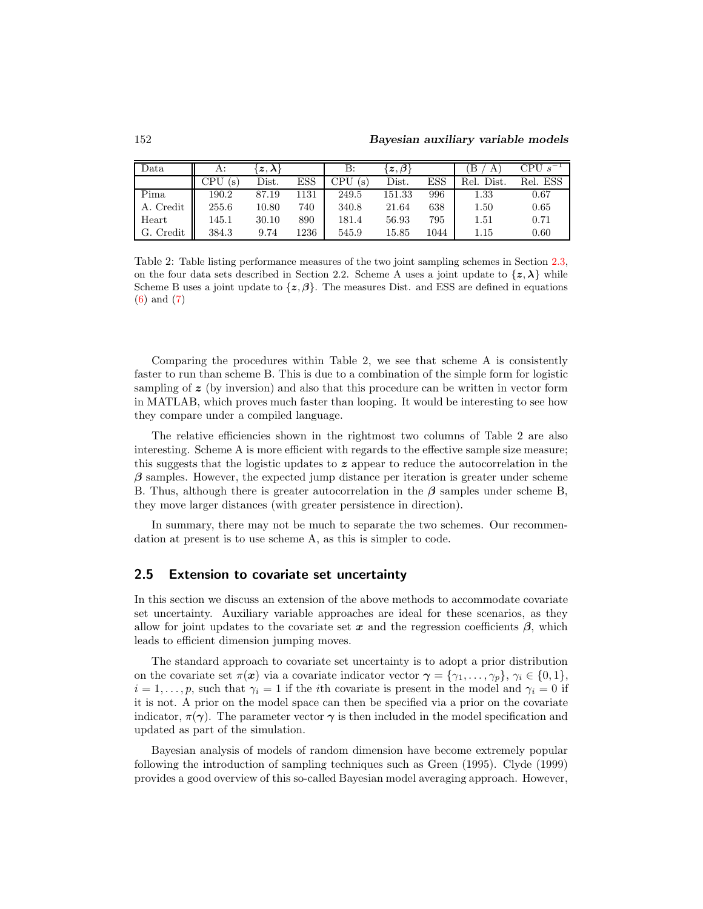| Data      | А:                                                         | $z, \lambda$   |              | В:         | $z, \beta$ |      | в             | $\mathrm{CPU}\;s^{-1}$ |
|-----------|------------------------------------------------------------|----------------|--------------|------------|------------|------|---------------|------------------------|
|           | $\mathbb{C}\mathrm{P}\mathrm{U}$<br>$\cdot$ S <sup>1</sup> | $_{\rm Dist.}$ | $_{\rm ESS}$ | CPU<br>'s' | Dist.      | ESS  | Dist.<br>Rel. | Rel. ESS               |
| Pima      | 190.2                                                      | 87.19          | 1131         | 249.5      | 151.33     | 996  | $1.33\,$      | 0.67                   |
| A. Credit | 255.6                                                      | 10.80          | 740          | 340.8      | 21.64      | 638  | $1.50\,$      | 0.65                   |
| Heart     | 145.1                                                      | 30.10          | 890          | 181.4      | 56.93      | 795  | 1.51          | 0.71                   |
| G. Credit | 384.3                                                      | 9.74           | 1236         | 545.9      | $15.85\,$  | 1044 | $1.15\,$      | 0.60                   |

Table 2: Table listing performance measures of the two joint sampling schemes in Section 2.3, on the four data sets described in Section 2.2. Scheme A uses a joint update to  $\{z, \lambda\}$  while Scheme B uses a joint update to  $\{z, \beta\}$ . The measures Dist. and ESS are defined in equations (6) and (7)

Comparing the procedures within Table 2, we see that scheme A is consistently faster to run than scheme B. This is due to a combination of the simple form for logistic sampling of  $z$  (by inversion) and also that this procedure can be written in vector form in MATLAB, which proves much faster than looping. It would be interesting to see how they compare under a compiled language.

The relative efficiencies shown in the rightmost two columns of Table 2 are also interesting. Scheme A is more efficient with regards to the effective sample size measure; this suggests that the logistic updates to  $z$  appear to reduce the autocorrelation in the  $\beta$  samples. However, the expected jump distance per iteration is greater under scheme B. Thus, although there is greater autocorrelation in the  $\beta$  samples under scheme B, they move larger distances (with greater persistence in direction).

In summary, there may not be much to separate the two schemes. Our recommendation at present is to use scheme A, as this is simpler to code.

#### 2.5 Extension to covariate set uncertainty

In this section we discuss an extension of the above methods to accommodate covariate set uncertainty. Auxiliary variable approaches are ideal for these scenarios, as they allow for joint updates to the covariate set x and the regression coefficients  $\beta$ , which leads to efficient dimension jumping moves.

The standard approach to covariate set uncertainty is to adopt a prior distribution on the covariate set  $\pi(x)$  via a covariate indicator vector  $\gamma = {\gamma_1, \ldots, \gamma_p}, \gamma_i \in \{0, 1\}$ ,  $i = 1, \ldots, p$ , such that  $\gamma_i = 1$  if the *i*th covariate is present in the model and  $\gamma_i = 0$  if it is not. A prior on the model space can then be specified via a prior on the covariate indicator,  $\pi(\gamma)$ . The parameter vector  $\gamma$  is then included in the model specification and updated as part of the simulation.

Bayesian analysis of models of random dimension have become extremely popular following the introduction of sampling techniques such as Green (1995). Clyde (1999) provides a good overview of this so-called Bayesian model averaging approach. However,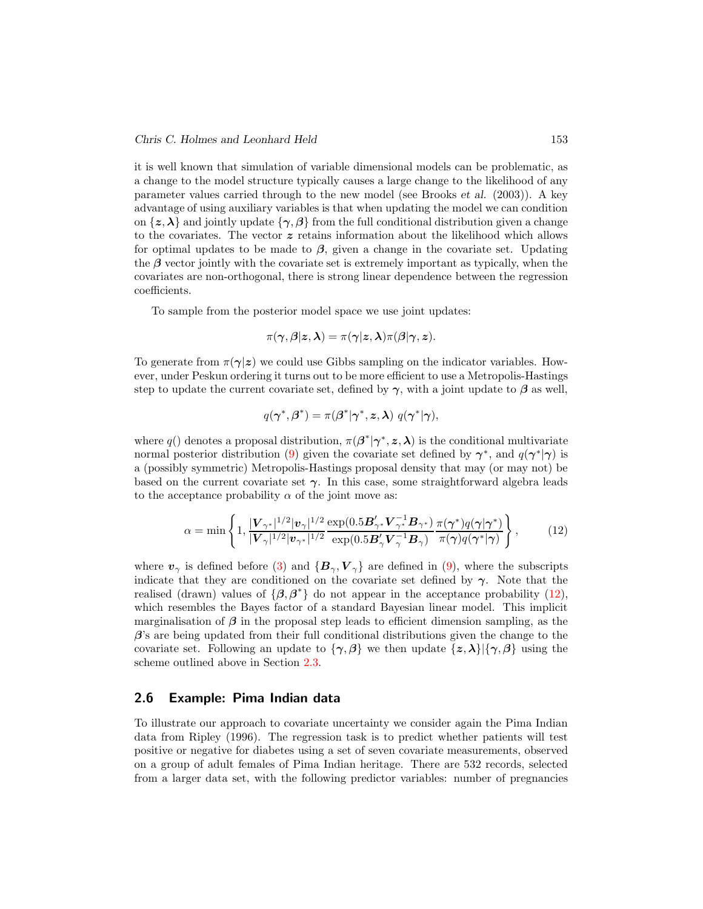it is well known that simulation of variable dimensional models can be problematic, as a change to the model structure typically causes a large change to the likelihood of any parameter values carried through to the new model (see Brooks et al. (2003)). A key advantage of using auxiliary variables is that when updating the model we can condition on  $\{z, \lambda\}$  and jointly update  $\{\gamma, \beta\}$  from the full conditional distribution given a change to the covariates. The vector  $z$  retains information about the likelihood which allows for optimal updates to be made to  $\beta$ , given a change in the covariate set. Updating the  $\beta$  vector jointly with the covariate set is extremely important as typically, when the covariates are non-orthogonal, there is strong linear dependence between the regression coefficients.

To sample from the posterior model space we use joint updates:

$$
\pi(\boldsymbol{\gamma},\boldsymbol{\beta}|\boldsymbol{z},\boldsymbol{\lambda})=\pi(\boldsymbol{\gamma}|\boldsymbol{z},\boldsymbol{\lambda})\pi(\boldsymbol{\beta}|\boldsymbol{\gamma},\boldsymbol{z}).
$$

To generate from  $\pi(\gamma|z)$  we could use Gibbs sampling on the indicator variables. However, under Peskun ordering it turns out to be more efficient to use a Metropolis-Hastings step to update the current covariate set, defined by  $\gamma$ , with a joint update to  $\beta$  as well,

$$
q(\boldsymbol{\gamma}^*,\boldsymbol{\beta}^*)=\pi(\boldsymbol{\beta}^*|\boldsymbol{\gamma}^*,\boldsymbol{z},\boldsymbol{\lambda})\ q(\boldsymbol{\gamma}^*|\boldsymbol{\gamma}),
$$

where q() denotes a proposal distribution,  $\pi(\beta^* | \gamma^*, z, \lambda)$  is the conditional multivariate normal posterior distribution (9) given the covariate set defined by  $\gamma^*$ , and  $q(\gamma^*|\gamma)$  is a (possibly symmetric) Metropolis-Hastings proposal density that may (or may not) be based on the current covariate set  $\gamma$ . In this case, some straightforward algebra leads to the acceptance probability  $\alpha$  of the joint move as:

$$
\alpha = \min\left\{1, \frac{|\mathbf{V}_{\gamma^*}|^{1/2}|\mathbf{v}_{\gamma}|^{1/2} \exp(0.5\mathbf{B}_{\gamma^*}' \mathbf{V}_{\gamma^*}^{-1} \mathbf{B}_{\gamma^*})}{|\mathbf{V}_{\gamma}|^{1/2} |\mathbf{v}_{\gamma^*}|^{1/2}} \frac{\exp(0.5\mathbf{B}_{\gamma^*}' \mathbf{V}_{\gamma^*}^{-1} \mathbf{B}_{\gamma^*})}{\exp(0.5\mathbf{B}_{\gamma}' \mathbf{V}_{\gamma}^{-1} \mathbf{B}_{\gamma})} \frac{\pi(\gamma^*)q(\gamma|\gamma^*)}{\pi(\gamma)q(\gamma^*|\gamma)}\right\},\tag{12}
$$

where  $v_{\gamma}$  is defined before (3) and  $\{B_{\gamma}, V_{\gamma}\}\$  are defined in (9), where the subscripts indicate that they are conditioned on the covariate set defined by  $\gamma$ . Note that the realised (drawn) values of  $\{\beta, \beta^*\}$  do not appear in the acceptance probability (12), which resembles the Bayes factor of a standard Bayesian linear model. This implicit marginalisation of  $\beta$  in the proposal step leads to efficient dimension sampling, as the  $\beta$ 's are being updated from their full conditional distributions given the change to the covariate set. Following an update to  $\{\gamma, \beta\}$  we then update  $\{z, \lambda\}|\{\gamma, \beta\}$  using the scheme outlined above in Section 2.3.

#### 2.6 Example: Pima Indian data

To illustrate our approach to covariate uncertainty we consider again the Pima Indian data from Ripley (1996). The regression task is to predict whether patients will test positive or negative for diabetes using a set of seven covariate measurements, observed on a group of adult females of Pima Indian heritage. There are 532 records, selected from a larger data set, with the following predictor variables: number of pregnancies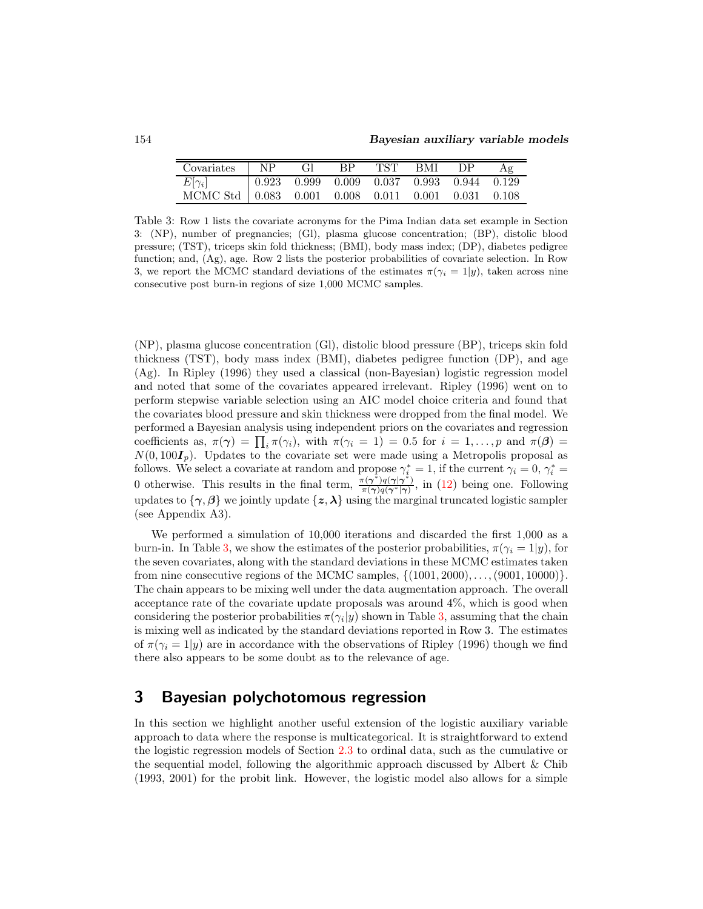| Covariates                                         | NP | G1 | <b>RP</b> | TST                                                                                       | <b>BMI</b> | DР |  |
|----------------------------------------------------|----|----|-----------|-------------------------------------------------------------------------------------------|------------|----|--|
| $E[\gamma_i]$                                      |    |    |           | $\begin{array}{cccccc} 0.923 & 0.999 & 0.009 & 0.037 & 0.993 & 0.944 & 0.129 \end{array}$ |            |    |  |
| MCMC Std 0.083 0.001 0.008 0.011 0.001 0.031 0.108 |    |    |           |                                                                                           |            |    |  |

Table 3: Row 1 lists the covariate acronyms for the Pima Indian data set example in Section 3: (NP), number of pregnancies; (Gl), plasma glucose concentration; (BP), distolic blood pressure; (TST), triceps skin fold thickness; (BMI), body mass index; (DP), diabetes pedigree function; and, (Ag), age. Row 2 lists the posterior probabilities of covariate selection. In Row 3, we report the MCMC standard deviations of the estimates  $\pi(\gamma_i = 1|y)$ , taken across nine consecutive post burn-in regions of size 1,000 MCMC samples.

(NP), plasma glucose concentration (Gl), distolic blood pressure (BP), triceps skin fold thickness (TST), body mass index (BMI), diabetes pedigree function (DP), and age (Ag). In Ripley (1996) they used a classical (non-Bayesian) logistic regression model and noted that some of the covariates appeared irrelevant. Ripley (1996) went on to perform stepwise variable selection using an AIC model choice criteria and found that the covariates blood pressure and skin thickness were dropped from the final model. We performed a Bayesian analysis using independent priors on the covariates and regression coefficients as,  $\pi(\gamma) = \prod_i \pi(\gamma_i)$ , with  $\pi(\gamma_i = 1) = 0.5$  for  $i = 1, ..., p$  and  $\pi(\beta) =$  $N(0, 100I_p)$ . Updates to the covariate set were made using a Metropolis proposal as follows. We select a covariate at random and propose  $\gamma_i^* = 1$ , if the current  $\gamma_i = 0$ ,  $\gamma_i^* =$ 0 otherwise. This results in the final term,  $\frac{\pi(\gamma^*)q(\gamma|\gamma^*)}{\pi(\gamma)q(\gamma^*|\gamma)}$ , in (12) being one. Following updates to  $\{\gamma, \beta\}$  we jointly update  $\{z, \lambda\}$  using the marginal truncated logistic sampler (see Appendix A3).

We performed a simulation of 10,000 iterations and discarded the first 1,000 as a burn-in. In Table 3, we show the estimates of the posterior probabilities,  $\pi(\gamma_i = 1|y)$ , for the seven covariates, along with the standard deviations in these MCMC estimates taken from nine consecutive regions of the MCMC samples,  $\{(1001, 2000), \ldots, (9001, 10000)\}.$ The chain appears to be mixing well under the data augmentation approach. The overall acceptance rate of the covariate update proposals was around 4%, which is good when considering the posterior probabilities  $\pi(\gamma_i|y)$  shown in Table 3, assuming that the chain is mixing well as indicated by the standard deviations reported in Row 3. The estimates of  $\pi(\gamma_i = 1|y)$  are in accordance with the observations of Ripley (1996) though we find there also appears to be some doubt as to the relevance of age.

# 3 Bayesian polychotomous regression

In this section we highlight another useful extension of the logistic auxiliary variable approach to data where the response is multicategorical. It is straightforward to extend the logistic regression models of Section 2.3 to ordinal data, such as the cumulative or the sequential model, following the algorithmic approach discussed by Albert & Chib (1993, 2001) for the probit link. However, the logistic model also allows for a simple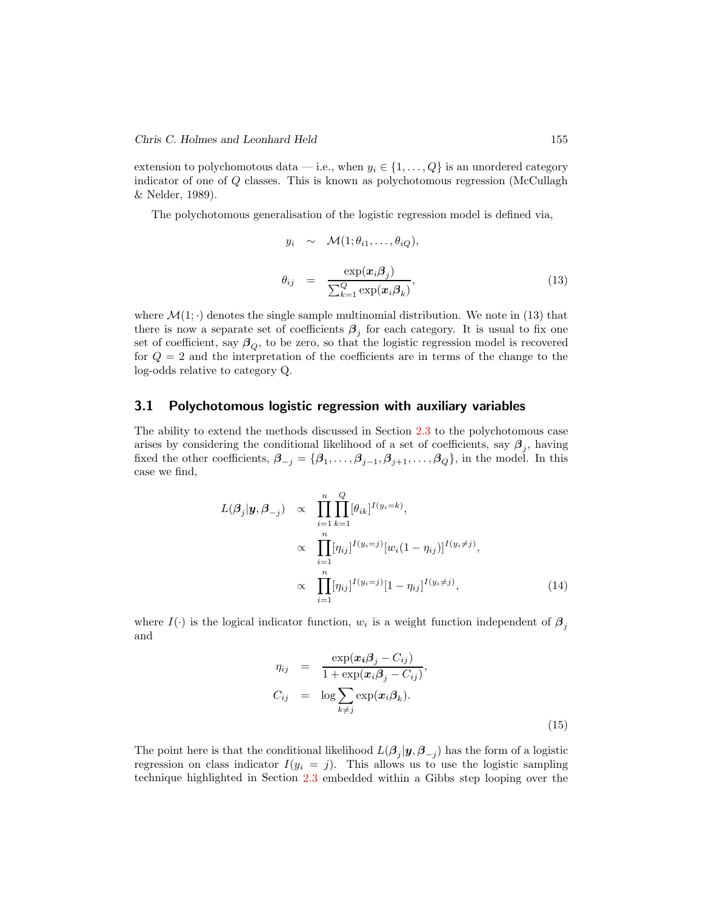extension to polychomotous data — i.e., when  $y_i \in \{1, \ldots, Q\}$  is an unordered category indicator of one of Q classes. This is known as polychotomous regression (McCullagh & Nelder, 1989).

The polychotomous generalisation of the logistic regression model is defined via,

$$
y_i \sim \mathcal{M}(1; \theta_{i1}, \dots, \theta_{iQ}),
$$

$$
\theta_{ij} = \frac{\exp(\boldsymbol{x}_i \boldsymbol{\beta}_j)}{\sum_{k=1}^{Q} \exp(\boldsymbol{x}_i \boldsymbol{\beta}_k)},
$$
(13)

where  $\mathcal{M}(1; \cdot)$  denotes the single sample multinomial distribution. We note in (13) that there is now a separate set of coefficients  $\boldsymbol{\beta}_j$  for each category. It is usual to fix one set of coefficient, say  $\beta_Q$ , to be zero, so that the logistic regression model is recovered for  $Q = 2$  and the interpretation of the coefficients are in terms of the change to the log-odds relative to category Q.

#### 3.1 Polychotomous logistic regression with auxiliary variables

The ability to extend the methods discussed in Section 2.3 to the polychotomous case arises by considering the conditional likelihood of a set of coefficients, say  $\beta_j$ , having fixed the other coefficients,  $\beta_{-j} = \{\beta_1, \ldots, \beta_{j-1}, \beta_{j+1}, \ldots, \beta_Q\}$ , in the model. In this case we find,

$$
L(\beta_j | \mathbf{y}, \beta_{-j}) \propto \prod_{i=1}^n \prod_{k=1}^Q [\theta_{ik}]^{I(y_i=k)},
$$
  
 
$$
\propto \prod_{i=1}^n [\eta_{ij}]^{I(y_i=j)} [w_i (1 - \eta_{ij})]^{I(y_i \neq j)},
$$
  
 
$$
\propto \prod_{i=1}^n [\eta_{ij}]^{I(y_i=j)} [1 - \eta_{ij}]^{I(y_i \neq j)},
$$
(14)

where  $I(\cdot)$  is the logical indicator function,  $w_i$  is a weight function independent of  $\beta_j$ and

$$
\eta_{ij} = \frac{\exp(\boldsymbol{x}_i \boldsymbol{\beta}_j - C_{ij})}{1 + \exp(\boldsymbol{x}_i \boldsymbol{\beta}_j - C_{ij})},
$$
\n
$$
C_{ij} = \log \sum_{k \neq j} \exp(\boldsymbol{x}_i \boldsymbol{\beta}_k).
$$
\n(15)

The point here is that the conditional likelihood  $L(\beta_j | y, \beta_{-j})$  has the form of a logistic regression on class indicator  $I(y_i = j)$ . This allows us to use the logistic sampling technique highlighted in Section 2.3 embedded within a Gibbs step looping over the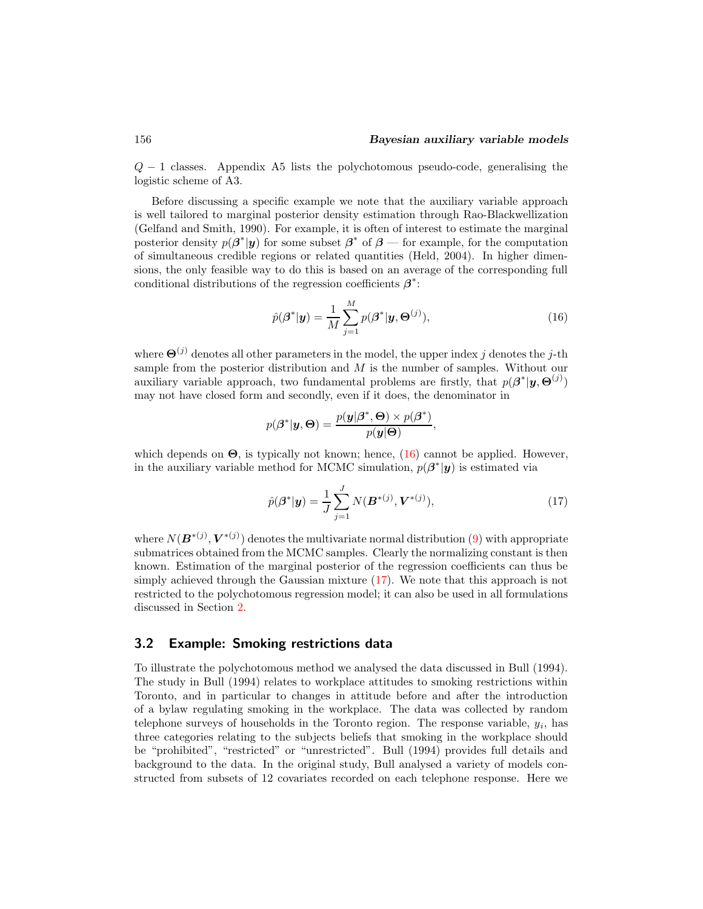#### 156 Bayesian auxiliary variable models

 $Q - 1$  classes. Appendix A5 lists the polychotomous pseudo-code, generalising the logistic scheme of A3.

Before discussing a specific example we note that the auxiliary variable approach is well tailored to marginal posterior density estimation through Rao-Blackwellization (Gelfand and Smith, 1990). For example, it is often of interest to estimate the marginal posterior density  $p(\boldsymbol{\beta}^*|\boldsymbol{y})$  for some subset  $\boldsymbol{\beta}^*$  of  $\boldsymbol{\beta}$  — for example, for the computation of simultaneous credible regions or related quantities (Held, 2004). In higher dimensions, the only feasible way to do this is based on an average of the corresponding full conditional distributions of the regression coefficients  $\beta^*$ :

$$
\hat{p}(\boldsymbol{\beta}^*|\mathbf{y}) = \frac{1}{M} \sum_{j=1}^M p(\boldsymbol{\beta}^*|\mathbf{y}, \boldsymbol{\Theta}^{(j)}),
$$
\n(16)

where  $\mathbf{\Theta}^{(j)}$  denotes all other parameters in the model, the upper index j denotes the j-th sample from the posterior distribution and M is the number of samples. Without our auxiliary variable approach, two fundamental problems are firstly, that  $p(\beta^* | y, \Theta^{(j)})$ may not have closed form and secondly, even if it does, the denominator in

$$
p(\boldsymbol{\beta}^*|\boldsymbol{y},\boldsymbol{\Theta})=\frac{p(\boldsymbol{y}|\boldsymbol{\beta}^*,\boldsymbol{\Theta})\times p(\boldsymbol{\beta}^*)}{p(\boldsymbol{y}|\boldsymbol{\Theta})},
$$

which depends on  $\Theta$ , is typically not known; hence, (16) cannot be applied. However, in the auxiliary variable method for MCMC simulation,  $p(\beta^*|\mathbf{y})$  is estimated via

$$
\hat{p}(\mathbf{\beta}^*|\mathbf{y}) = \frac{1}{J} \sum_{j=1}^{J} N(\mathbf{B}^{*(j)}, \mathbf{V}^{*(j)}),
$$
\n(17)

where  $N(\boldsymbol{B}^{*(j)},\boldsymbol{V}^{*(j)})$  denotes the multivariate normal distribution  $(9)$  with appropriate submatrices obtained from the MCMC samples. Clearly the normalizing constant is then known. Estimation of the marginal posterior of the regression coefficients can thus be simply achieved through the Gaussian mixture (17). We note that this approach is not restricted to the polychotomous regression model; it can also be used in all formulations discussed in Section 2.

#### 3.2 Example: Smoking restrictions data

To illustrate the polychotomous method we analysed the data discussed in Bull (1994). The study in Bull (1994) relates to workplace attitudes to smoking restrictions within Toronto, and in particular to changes in attitude before and after the introduction of a bylaw regulating smoking in the workplace. The data was collected by random telephone surveys of households in the Toronto region. The response variable,  $y_i$ , has three categories relating to the subjects beliefs that smoking in the workplace should be "prohibited", "restricted" or "unrestricted". Bull (1994) provides full details and background to the data. In the original study, Bull analysed a variety of models constructed from subsets of 12 covariates recorded on each telephone response. Here we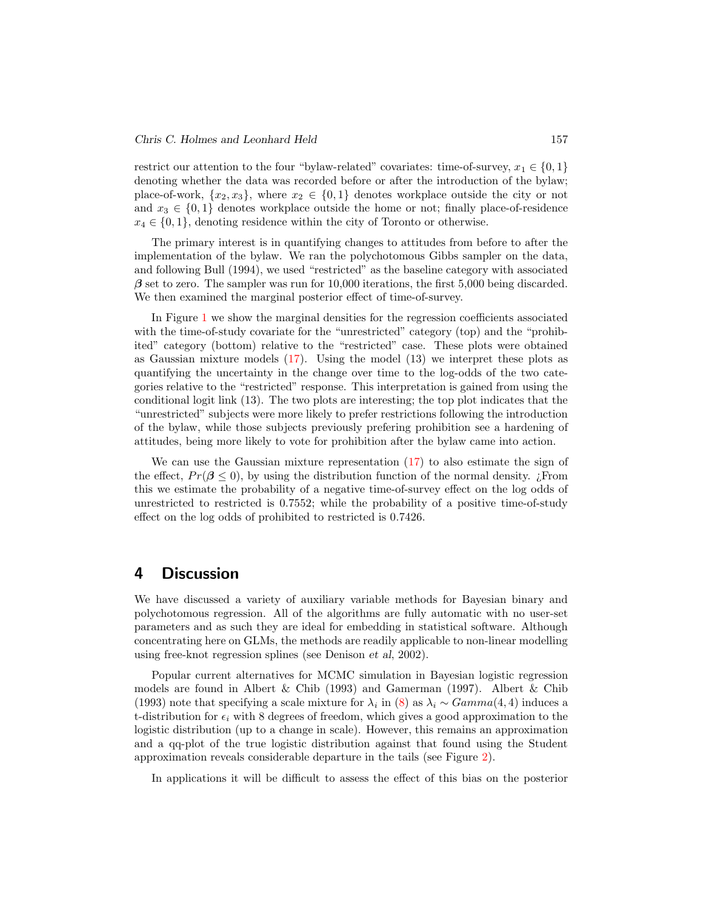restrict our attention to the four "bylaw-related" covariates: time-of-survey,  $x_1 \in \{0, 1\}$ denoting whether the data was recorded before or after the introduction of the bylaw; place-of-work,  $\{x_2, x_3\}$ , where  $x_2 \in \{0, 1\}$  denotes workplace outside the city or not and  $x_3 \in \{0,1\}$  denotes workplace outside the home or not; finally place-of-residence  $x_4 \in \{0, 1\}$ , denoting residence within the city of Toronto or otherwise.

The primary interest is in quantifying changes to attitudes from before to after the implementation of the bylaw. We ran the polychotomous Gibbs sampler on the data, and following Bull (1994), we used "restricted" as the baseline category with associated  $\beta$  set to zero. The sampler was run for 10,000 iterations, the first 5,000 being discarded. We then examined the marginal posterior effect of time-of-survey.

In Figure 1 we show the marginal densities for the regression coefficients associated with the time-of-study covariate for the "unrestricted" category (top) and the "prohibited" category (bottom) relative to the "restricted" case. These plots were obtained as Gaussian mixture models (17). Using the model (13) we interpret these plots as quantifying the uncertainty in the change over time to the log-odds of the two categories relative to the "restricted" response. This interpretation is gained from using the conditional logit link (13). The two plots are interesting; the top plot indicates that the "unrestricted" subjects were more likely to prefer restrictions following the introduction of the bylaw, while those subjects previously prefering prohibition see a hardening of attitudes, being more likely to vote for prohibition after the bylaw came into action.

We can use the Gaussian mixture representation (17) to also estimate the sign of the effect,  $Pr(\beta \le 0)$ , by using the distribution function of the normal density. *i*. From this we estimate the probability of a negative time-of-survey effect on the log odds of unrestricted to restricted is 0.7552; while the probability of a positive time-of-study effect on the log odds of prohibited to restricted is 0.7426.

### 4 Discussion

We have discussed a variety of auxiliary variable methods for Bayesian binary and polychotomous regression. All of the algorithms are fully automatic with no user-set parameters and as such they are ideal for embedding in statistical software. Although concentrating here on GLMs, the methods are readily applicable to non-linear modelling using free-knot regression splines (see Denison et al, 2002).

Popular current alternatives for MCMC simulation in Bayesian logistic regression models are found in Albert & Chib (1993) and Gamerman (1997). Albert & Chib (1993) note that specifying a scale mixture for  $\lambda_i$  in (8) as  $\lambda_i \sim Gamma(4, 4)$  induces a t-distribution for  $\epsilon_i$  with 8 degrees of freedom, which gives a good approximation to the logistic distribution (up to a change in scale). However, this remains an approximation and a qq-plot of the true logistic distribution against that found using the Student approximation reveals considerable departure in the tails (see Figure 2).

In applications it will be difficult to assess the effect of this bias on the posterior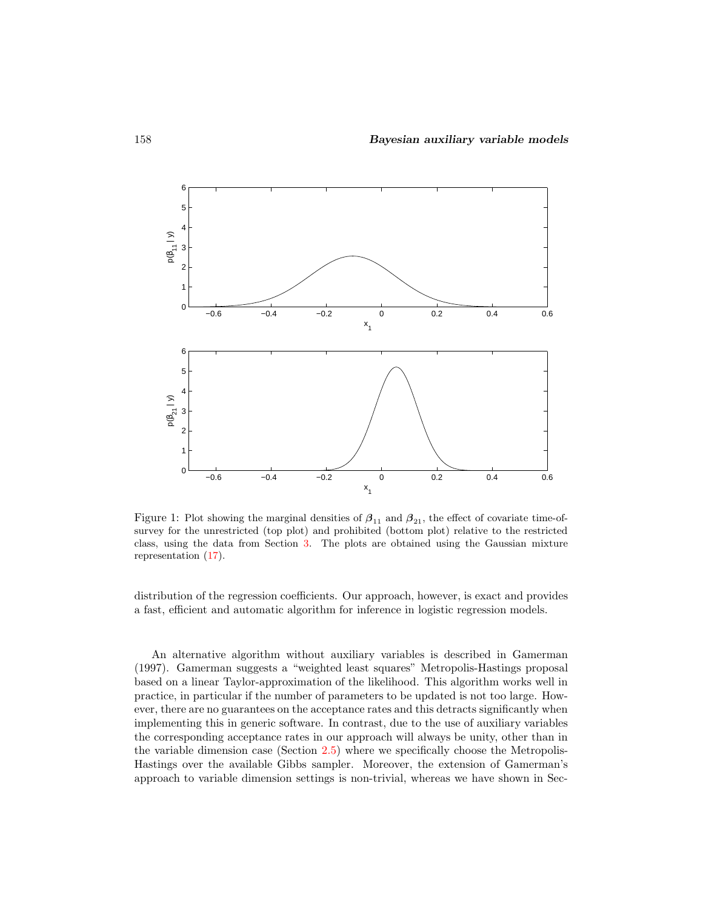

Figure 1: Plot showing the marginal densities of  $\beta_{11}$  and  $\beta_{21}$ , the effect of covariate time-ofsurvey for the unrestricted (top plot) and prohibited (bottom plot) relative to the restricted class, using the data from Section 3. The plots are obtained using the Gaussian mixture representation (17).

distribution of the regression coefficients. Our approach, however, is exact and provides a fast, efficient and automatic algorithm for inference in logistic regression models.

An alternative algorithm without auxiliary variables is described in Gamerman (1997). Gamerman suggests a "weighted least squares" Metropolis-Hastings proposal based on a linear Taylor-approximation of the likelihood. This algorithm works well in practice, in particular if the number of parameters to be updated is not too large. However, there are no guarantees on the acceptance rates and this detracts significantly when implementing this in generic software. In contrast, due to the use of auxiliary variables the corresponding acceptance rates in our approach will always be unity, other than in the variable dimension case (Section 2.5) where we specifically choose the Metropolis-Hastings over the available Gibbs sampler. Moreover, the extension of Gamerman's approach to variable dimension settings is non-trivial, whereas we have shown in Sec-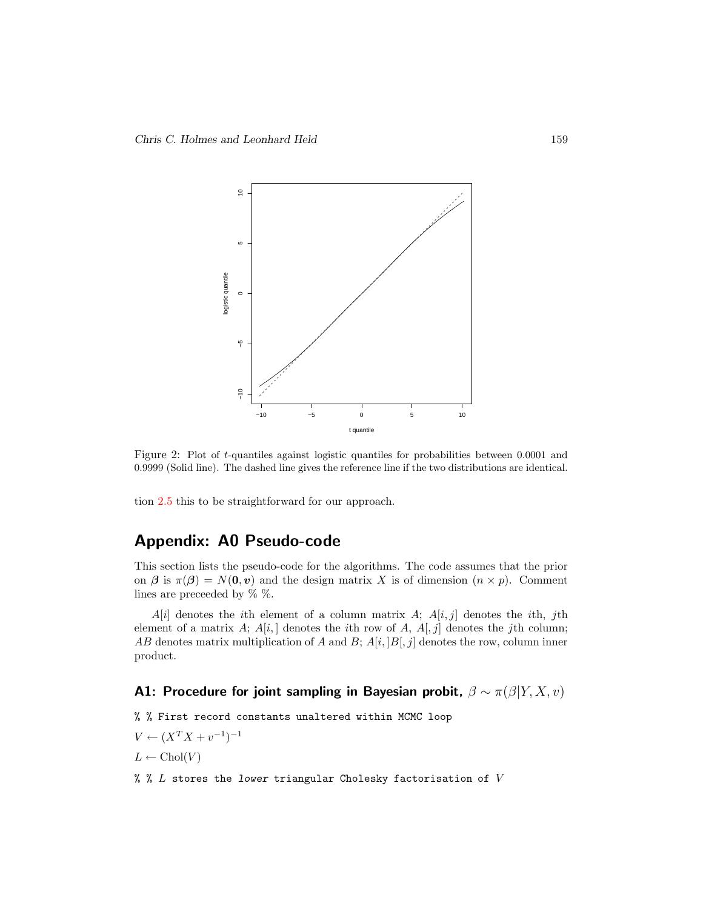

Figure 2: Plot of t-quantiles against logistic quantiles for probabilities between 0.0001 and 0.9999 (Solid line). The dashed line gives the reference line if the two distributions are identical.

tion 2.5 this to be straightforward for our approach.

# Appendix: A0 Pseudo-code

This section lists the pseudo-code for the algorithms. The code assumes that the prior on  $\beta$  is  $\pi(\beta) = N(0, v)$  and the design matrix X is of dimension  $(n \times p)$ . Comment lines are preceeded by % %.

 $A[i]$  denotes the *i*th element of a column matrix  $A$ ;  $A[i, j]$  denotes the *i*th, *j*th element of a matrix A;  $A[i, ]$  denotes the *i*th row of A,  $A[, j]$  denotes the *j*th column; AB denotes matrix multiplication of A and B;  $A[i, B], j]$  denotes the row, column inner product.

### A1: Procedure for joint sampling in Bayesian probit,  $\beta \sim \pi(\beta|Y, X, v)$

% % First record constants unaltered within MCMC loop

 $V \leftarrow (X^T X + v^{-1})^{-1}$  $L \leftarrow \text{Chol}(V)$ % %  $L$  stores the lower triangular Cholesky factorisation of  $V$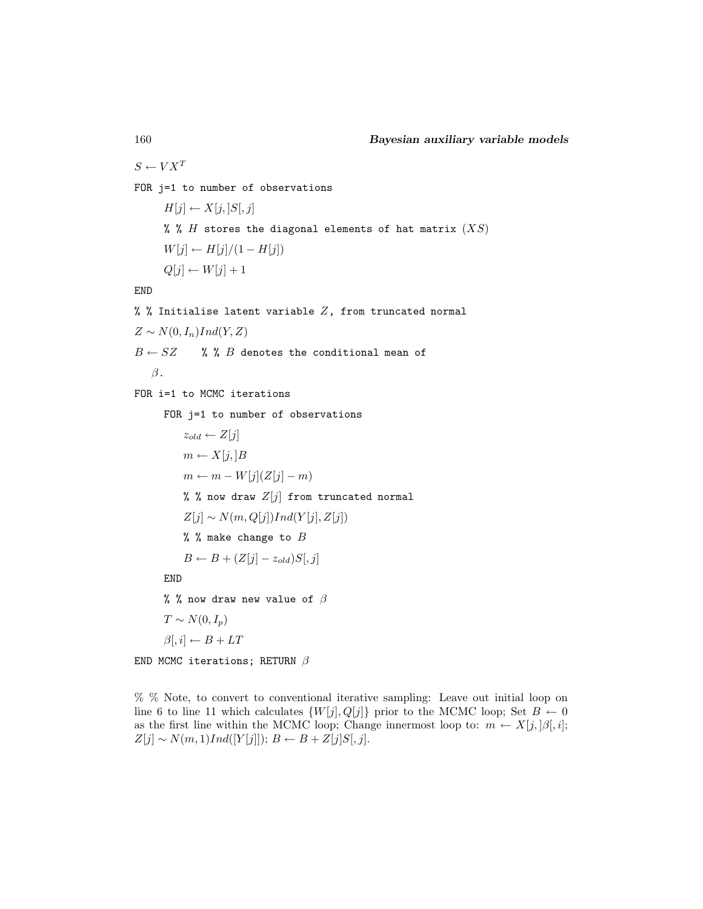$S \leftarrow V X^T$ 

FOR j=1 to number of observations

 $H[j] \leftarrow X[j, |S[, j]$ % %  $H$  stores the diagonal elements of hat matrix  $(XS)$  $W[j] \leftarrow H[j]/(1 - H[j])$  $Q[j] \leftarrow W[j] + 1$ 

END

% % Initialise latent variable  $Z$ , from truncated normal  $Z \sim N(0, I_n)Ind(Y, Z)$  $B \leftarrow SZ$  % % B denotes the conditional mean of β. FOR i=1 to MCMC iterations FOR j=1 to number of observations  $z_{old} \leftarrow Z[j]$  $m \leftarrow X[j, |B$  $m \leftarrow m - W[j](Z[j] - m)$ % % now draw  $Z[j]$  from truncated normal  $Z[j] \sim N(m, Q[j])Ind(Y[j], Z[j])$ % % make change to  $B$  $B \leftarrow B + (Z[j] - z_{old})S[, j]$ END % % now draw new value of  $\beta$  $T \sim N(0, I_p)$  $\beta$ , i  $\leftarrow$  B + LT

END MCMC iterations; RETURN  $\beta$ 

% % Note, to convert to conventional iterative sampling: Leave out initial loop on line 6 to line 11 which calculates  $\{W[j], Q[j]\}$  prior to the MCMC loop; Set  $B \leftarrow 0$ as the first line within the MCMC loop; Change innermost loop to:  $m \leftarrow X[j, \beta], i$ ;  $Z[j] \sim N(m, 1)Ind([Y[j]])$ ;  $B \leftarrow B + Z[j]S[, j].$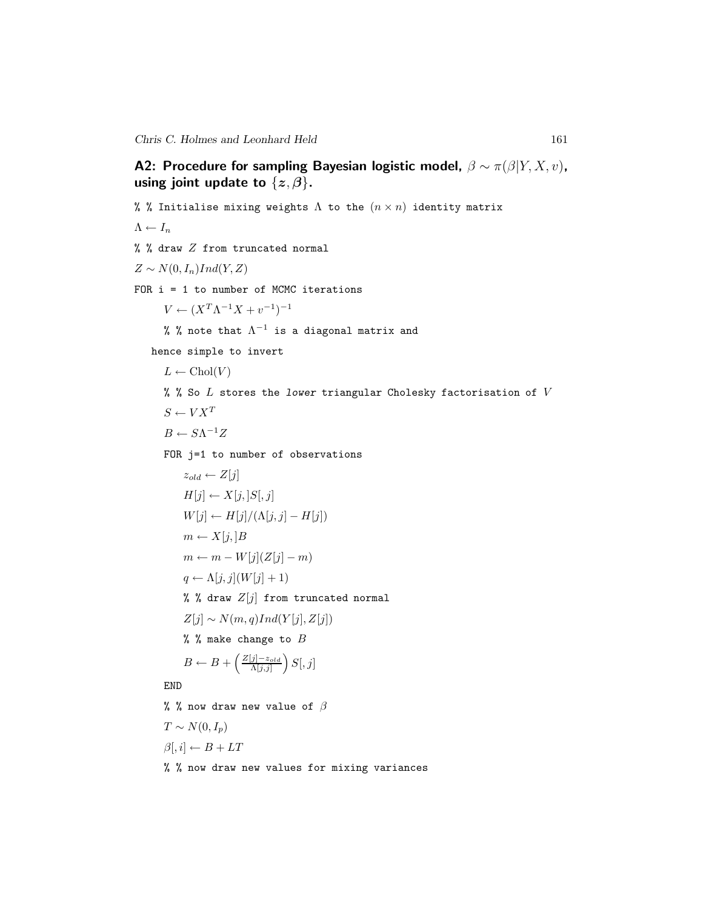A2: Procedure for sampling Bayesian logistic model,  $\beta \sim \pi(\beta|Y, X, v)$ , using joint update to  $\{z,\beta\}.$ 

% % Initialise mixing weights  $\Lambda$  to the  $(n \times n)$  identity matrix  $\Lambda \leftarrow I_n$ % % draw  $Z$  from truncated normal  $Z \sim N(0, I_n)Ind(Y, Z)$ FOR  $i = 1$  to number of MCMC iterations  $V \leftarrow (X^T \Lambda^{-1} X + v^{-1})^{-1}$ % % note that  $\Lambda^{-1}$  is a diagonal matrix and hence simple to invert  $L \leftarrow \text{Chol}(V)$ % % So  $L$  stores the lower triangular Cholesky factorisation of  $V$  $S \leftarrow V X^T$  $B \leftarrow S \Lambda^{-1} Z$ FOR j=1 to number of observations  $z_{old} \leftarrow Z[j]$  $H[j] \leftarrow X[j, |S|, j]$  $W[j] \leftarrow H[j]/(\Lambda[j,j] - H[j])$  $m \leftarrow X[j, |B$  $m \leftarrow m - W[i](Z[i] - m)$  $q \leftarrow \Lambda[j,j](W[j]+1)$ % % draw  $Z[j]$  from truncated normal  $Z[j] \sim N(m, q)Ind(Y[j], Z[j])$ % % make change to  $B$  $B \leftarrow B + \left(\frac{Z[j]-z_{old}}{\Lambda[j,j]}\right)S[, j]$ END % % now draw new value of  $\beta$  $T \sim N(0, I_p)$  $\beta$ [, *i*]  $\leftarrow$   $B + LT$ 

% % now draw new values for mixing variances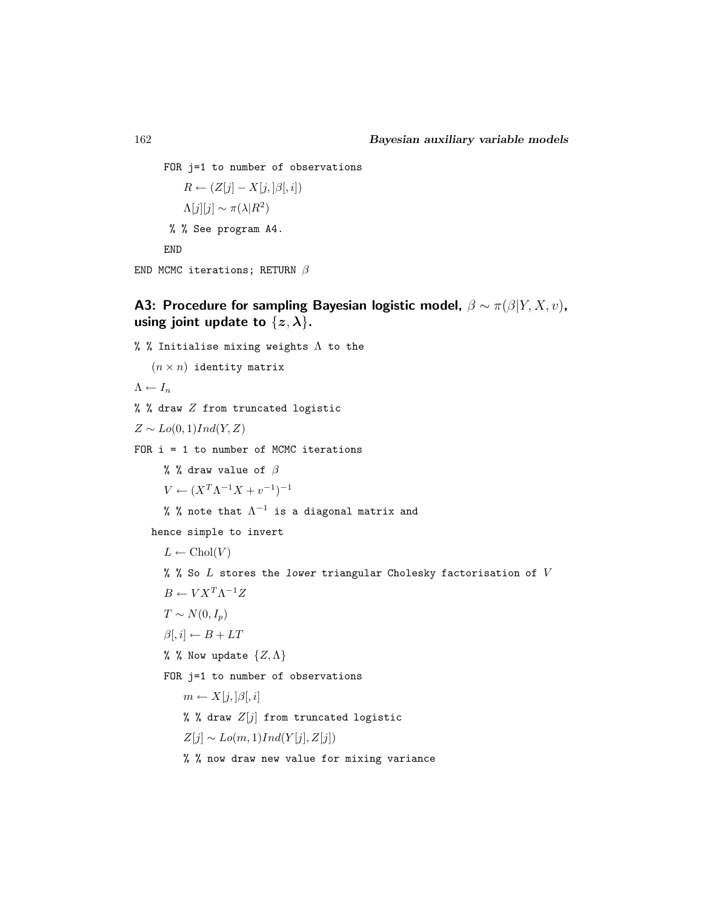```
FOR j=1 to number of observations
    R \leftarrow (Z[j] - X[j,]\beta[,i])Λ[j][j] \sim π(λ|R^2)
```

```
% % See program A4.
```
END

```
END MCMC iterations; RETURN \beta
```
A3: Procedure for sampling Bayesian logistic model,  $\beta \sim \pi(\beta|Y, X, v)$ , using joint update to  $\{z, \lambda\}.$ 

```
% % Initialise mixing weights Λ to the
   (n \times n) identity matrix
\Lambda \leftarrow I_n% % draw Z from truncated logistic
Z \sim Lo(0,1)Ind(Y,Z)FOR i = 1 to number of MCMC iterations
      % % draw value of \betaV \leftarrow (X^T \Lambda^{-1} X + v^{-1})^{-1}% % note that \Lambda^{-1} is a diagonal matrix and
   hence simple to invert
      L \leftarrow \text{Chol}(V)% % So L stores the lower triangular Cholesky factorisation of VB \leftarrow V X^T \Lambda^{-1} ZT \sim N(0, I_p)\beta[, i] \leftarrow B + LT
      % % Now update \{Z,\Lambda\}FOR j=1 to number of observations
          m \leftarrow X[j, |\beta|, i]% % draw Z[j] from truncated logistic
          Z[j] \sim Lo(m, 1)Ind(Y[j], Z[j])% % now draw new value for mixing variance
```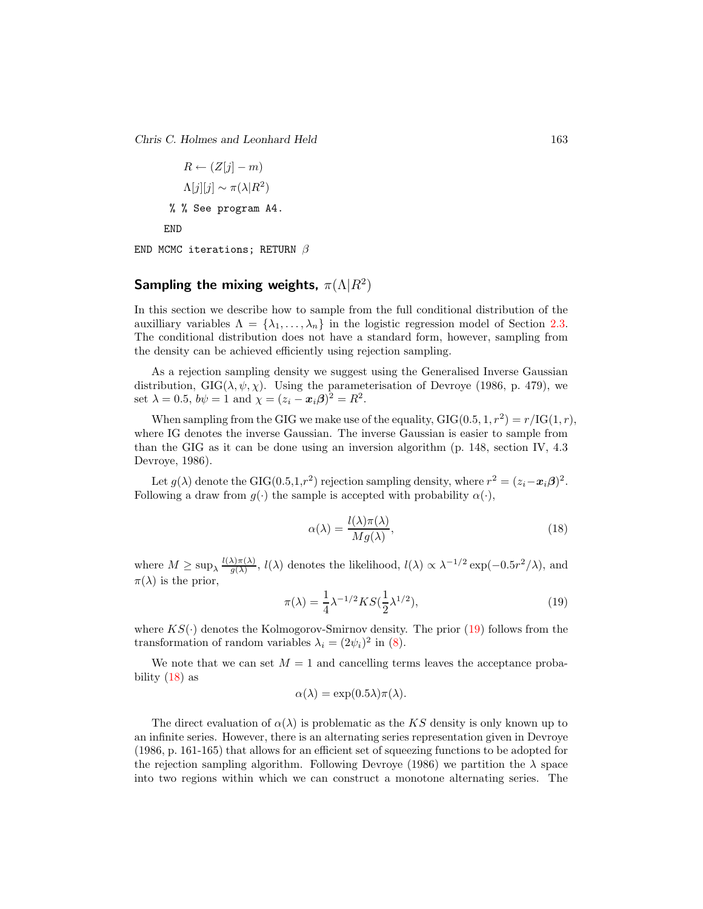Chris C. Holmes and Leonhard Held 163

$$
R \leftarrow (Z[j] - m)
$$
  
\n
$$
\Lambda[j][j] \sim \pi(\lambda|R^2)
$$
  
\n% % See program A4.  
\nEND

END MCMC iterations; RETURN  $\beta$ 

# Sampling the mixing weights,  $\pi(\Lambda|R^2)$

In this section we describe how to sample from the full conditional distribution of the auxilliary variables  $\Lambda = {\lambda_1, \ldots, \lambda_n}$  in the logistic regression model of Section 2.3. The conditional distribution does not have a standard form, however, sampling from the density can be achieved efficiently using rejection sampling.

As a rejection sampling density we suggest using the Generalised Inverse Gaussian distribution, GIG( $\lambda, \psi, \chi$ ). Using the parameterisation of Devroye (1986, p. 479), we set  $\lambda = 0.5$ ,  $b\psi = 1$  and  $\chi = (z_i - \boldsymbol{x}_i \boldsymbol{\beta})^2 = R^2$ .

When sampling from the GIG we make use of the equality,  $GIG(0.5, 1, r^2) = r/IG(1, r)$ , where IG denotes the inverse Gaussian. The inverse Gaussian is easier to sample from than the GIG as it can be done using an inversion algorithm (p. 148, section IV, 4.3 Devroye, 1986).

Let  $g(\lambda)$  denote the GIG(0.5,1, $r^2$ ) rejection sampling density, where  $r^2 = (z_i - x_i \beta)^2$ . Following a draw from  $g(\cdot)$  the sample is accepted with probability  $\alpha(\cdot)$ ,

$$
\alpha(\lambda) = \frac{l(\lambda)\pi(\lambda)}{Mg(\lambda)},\tag{18}
$$

where  $M \geq \sup_{\lambda} \frac{l(\lambda)\pi(\lambda)}{q(\lambda)}$  $\frac{\lambda \pi(\lambda)}{g(\lambda)}$ ,  $l(\lambda)$  denotes the likelihood,  $l(\lambda) \propto \lambda^{-1/2} \exp(-0.5r^2/\lambda)$ , and  $\pi(\lambda)$  is the prior,

$$
\pi(\lambda) = \frac{1}{4} \lambda^{-1/2} K S(\frac{1}{2} \lambda^{1/2}),\tag{19}
$$

where  $KS(\cdot)$  denotes the Kolmogorov-Smirnov density. The prior (19) follows from the transformation of random variables  $\lambda_i = (2\psi_i)^2$  in (8).

We note that we can set  $M = 1$  and cancelling terms leaves the acceptance probability (18) as

$$
\alpha(\lambda) = \exp(0.5\lambda)\pi(\lambda).
$$

The direct evaluation of  $\alpha(\lambda)$  is problematic as the KS density is only known up to an infinite series. However, there is an alternating series representation given in Devroye (1986, p. 161-165) that allows for an efficient set of squeezing functions to be adopted for the rejection sampling algorithm. Following Devroye (1986) we partition the  $\lambda$  space into two regions within which we can construct a monotone alternating series. The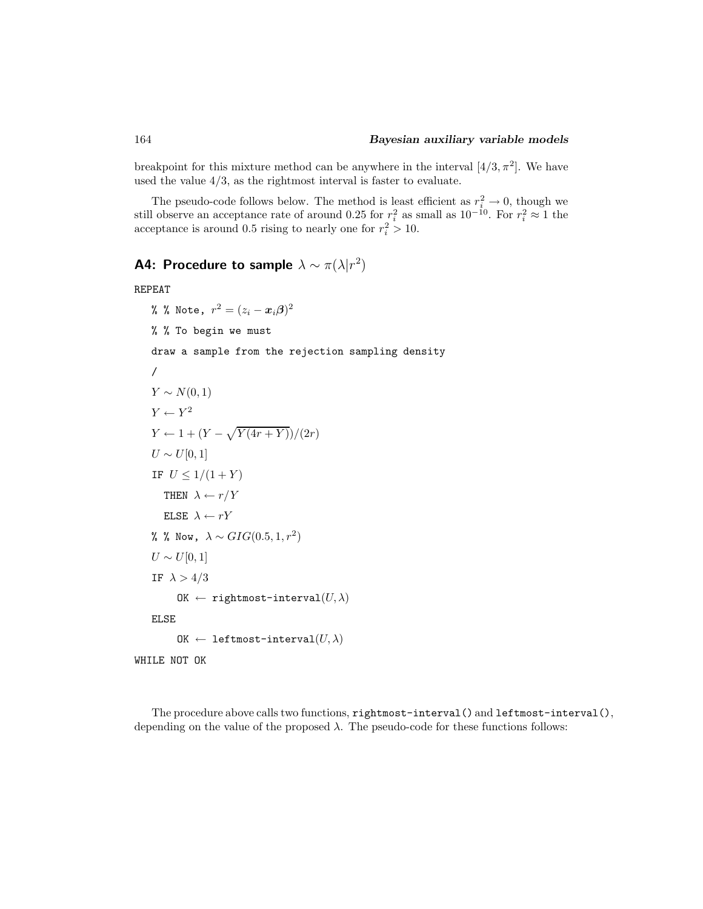breakpoint for this mixture method can be anywhere in the interval  $[4/3, \pi^2]$ . We have used the value  $4/3$ , as the rightmost interval is faster to evaluate.

The pseudo-code follows below. The method is least efficient as  $r_i^2 \to 0$ , though we still observe an acceptance rate of around 0.25 for  $r_i^2$  as small as  $10^{-10}$ . For  $r_i^2 \approx 1$  the acceptance is around 0.5 rising to nearly one for  $r_i^2 > 10$ .

# A4: Procedure to sample  $\lambda \sim \pi(\lambda|r^2)$

REPEAT

```
% % Note, r^2=(z_i-\bm{x}_i\bm{\beta})^2% % To begin we must
   draw a sample from the rejection sampling density
    /
   Y \sim N(0, 1)Y \leftarrow Y^2Y \leftarrow 1 + (Y - \sqrt{Y(4r + Y)})/(2r)U \sim U[0, 1]IF U \leq 1/(1+Y)THEN \lambda \leftarrow r/YELSE \lambda \leftarrow rY% % Now, \lambda \sim GIG(0.5, 1, r^2)U \sim U[0, 1]IF \lambda > 4/3OK \leftarrow rightmost-interval(U, \lambda)ELSE
          OK \leftarrow leftmost-interval(U, \lambda)WHILE NOT OK
```
The procedure above calls two functions, rightmost-interval() and leftmost-interval(), depending on the value of the proposed  $\lambda$ . The pseudo-code for these functions follows: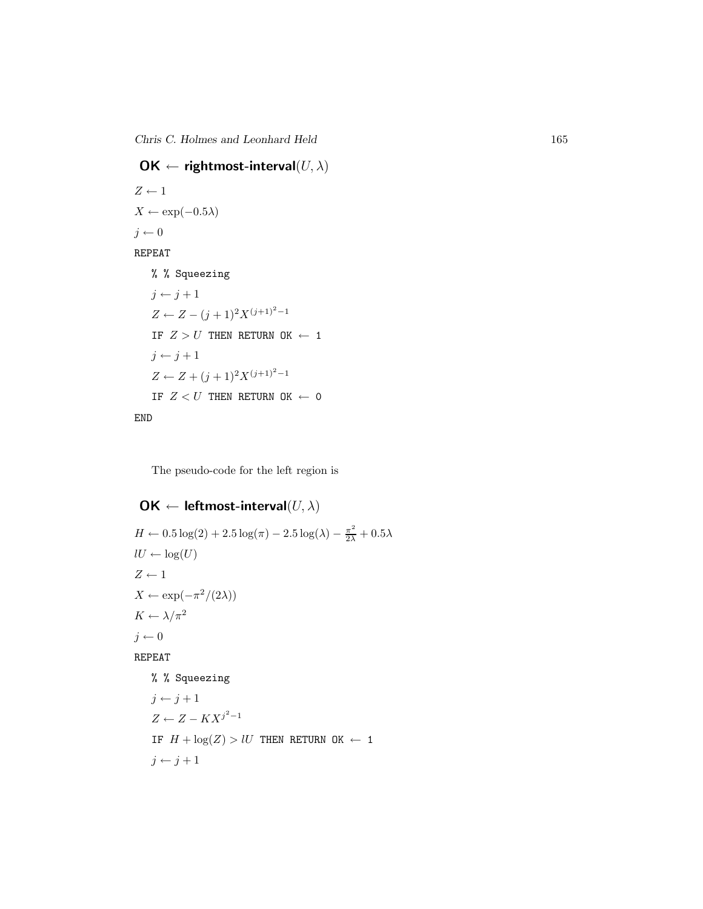```
\mathsf{OK} \leftarrow \mathsf{rightmost-interval}(U, \lambda)Z \leftarrow 1X \leftarrow \exp(-0.5\lambda)j \leftarrow 0REPEAT
    % % Squeezing
    j \leftarrow j + 1Z \leftarrow Z - (j+1)^2 X^{(j+1)^2 - 1}IF Z > U THEN RETURN OK \leftarrow 1
    j \leftarrow j + 1Z \leftarrow Z + (j+1)^2 X^{(j+1)^2-1}IF Z < U THEN RETURN OK \leftarrow 0
END
```
The pseudo-code for the left region is

# $\mathsf{OK} \leftarrow \mathsf{leftmost-interval}(U, \lambda)$

```
H \leftarrow 0.5 \log(2) + 2.5 \log(\pi) - 2.5 \log(\lambda) - \frac{\pi^2}{2\lambda} + 0.5 \lambdalU \leftarrow \log(U)Z \leftarrow 1X \leftarrow \exp(-\pi^2/(2\lambda))K \leftarrow \lambda/\pi^2j \leftarrow 0REPEAT
     % % Squeezing
     j \leftarrow j + 1Z \leftarrow Z - K X^{j^2 - 1}IF H + \log(Z) > lU THEN RETURN OK \leftarrow 1j \leftarrow j + 1
```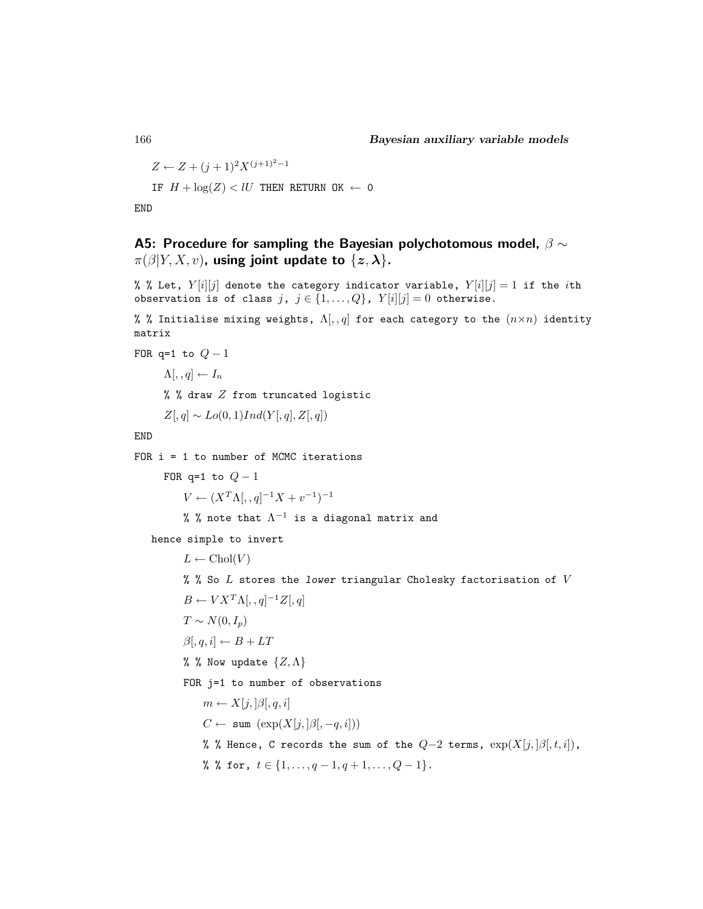$Z \leftarrow Z + (j+1)^2 X^{(j+1)^2-1}$ IF  $H + \log(Z) < lU$  THEN RETURN OK  $\leftarrow$  0 END

A5: Procedure for sampling the Bayesian polychotomous model,  $\beta \sim$  $\pi(\beta|Y, X, v)$ , using joint update to  $\{z, \lambda\}.$ 

% % Let,  $Y[i][j]$  denote the category indicator variable,  $Y[i][j] = 1$  if the *i*th observation is of class  $j, j \in \{1, ..., Q\}, Y[i][j] = 0$  otherwise.

% % Initialise mixing weights,  $\Lambda[, q]$  for each category to the  $(n \times n)$  identity matrix

FOR q=1 to  $Q-1$ 

 $\Lambda[, q] \leftarrow I_n$ % % draw  $Z$  from truncated logistic  $Z[, q] \sim Lo(0, 1)Ind(Y[, q], Z[, q])$ 

END

FOR i = 1 to number of MCMC iterations

FOR q=1 to  $Q-1$  $V \leftarrow (X^T \Lambda[, q]^{-1} X + v^{-1})^{-1}$ % % note that  $\Lambda^{-1}$  is a diagonal matrix and hence simple to invert  $L \leftarrow \text{Chol}(V)$ 

% % So  $L$  stores the lower triangular Cholesky factorisation of  $V$  $B \leftarrow V X^T \Lambda[, q]^{-1} Z[, q]$  $T \sim N(0, I_p)$  $\beta, q, i \in B + LT$ % % Now update  $\{Z, \Lambda\}$ FOR j=1 to number of observations  $m \leftarrow X[i, |\beta|, q, i]$  $C \leftarrow \texttt{sum} (\exp(X[j, |\beta|, -q, i]))$ % % Hence, C records the sum of the  $Q-2$  terms,  $\exp(X[j,]\beta[,t,i])$ , % % for,  $t \in \{1, \ldots, q-1, q+1, \ldots, Q-1\}.$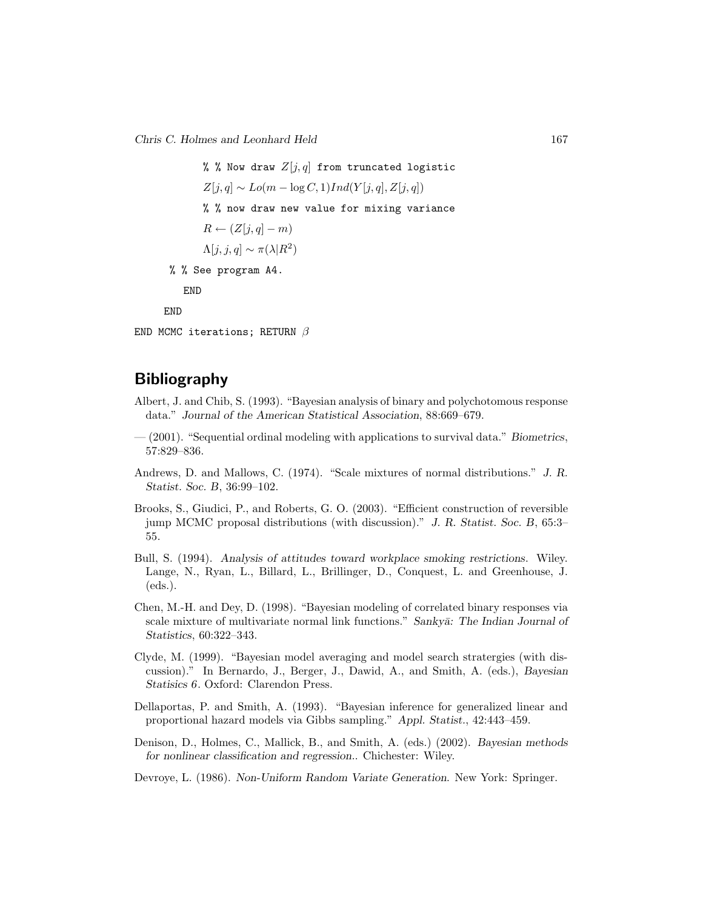% % Now draw  $Z[i, q]$  from truncated logistic  $Z[j, q] \sim Lo(m - \log C, 1)Ind(Y[j, q], Z[j, q])$ % % now draw new value for mixing variance  $R \leftarrow (Z[j, q] - m)$  $\Lambda[j,j,q] \sim \pi(\lambda|R^2)$ % % See program A4. END

END MCMC iterations; RETURN  $\beta$ 

# Bibliography

END

- Albert, J. and Chib, S. (1993). "Bayesian analysis of binary and polychotomous response data." Journal of the American Statistical Association, 88:669–679.
- $-$  (2001). "Sequential ordinal modeling with applications to survival data." Biometrics, 57:829–836.
- Andrews, D. and Mallows, C. (1974). "Scale mixtures of normal distributions." J. R. Statist. Soc. B, 36:99–102.
- Brooks, S., Giudici, P., and Roberts, G. O. (2003). "Efficient construction of reversible jump MCMC proposal distributions (with discussion)." J. R. Statist. Soc. B, 65:3– 55.
- Bull, S. (1994). Analysis of attitudes toward workplace smoking restrictions. Wiley. Lange, N., Ryan, L., Billard, L., Brillinger, D., Conquest, L. and Greenhouse, J. (eds.).
- Chen, M.-H. and Dey, D. (1998). "Bayesian modeling of correlated binary responses via scale mixture of multivariate normal link functions." Sankya: The Indian Journal of Statistics, 60:322–343.
- Clyde, M. (1999). "Bayesian model averaging and model search stratergies (with discussion)." In Bernardo, J., Berger, J., Dawid, A., and Smith, A. (eds.), Bayesian Statisics 6. Oxford: Clarendon Press.
- Dellaportas, P. and Smith, A. (1993). "Bayesian inference for generalized linear and proportional hazard models via Gibbs sampling." Appl. Statist., 42:443–459.
- Denison, D., Holmes, C., Mallick, B., and Smith, A. (eds.) (2002). Bayesian methods for nonlinear classification and regression.. Chichester: Wiley.
- Devroye, L. (1986). Non-Uniform Random Variate Generation. New York: Springer.